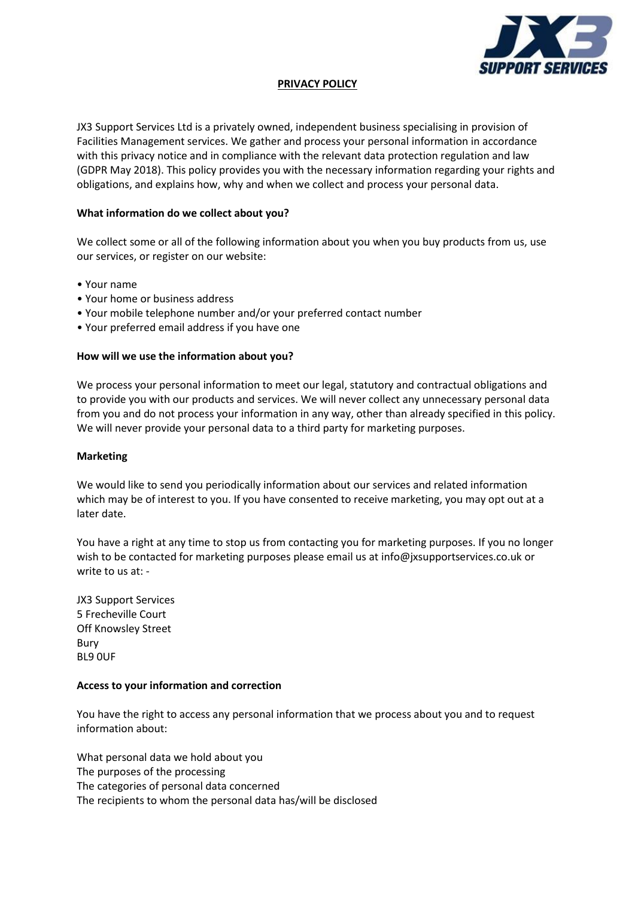

# **PRIVACY POLICY**

JX3 Support Services Ltd is a privately owned, independent business specialising in provision of Facilities Management services. We gather and process your personal information in accordance with this privacy notice and in compliance with the relevant data protection regulation and law (GDPR May 2018). This policy provides you with the necessary information regarding your rights and obligations, and explains how, why and when we collect and process your personal data.

#### **What information do we collect about you?**

We collect some or all of the following information about you when you buy products from us, use our services, or register on our website:

- Your name
- Your home or business address
- Your mobile telephone number and/or your preferred contact number
- Your preferred email address if you have one

# **How will we use the information about you?**

We process your personal information to meet our legal, statutory and contractual obligations and to provide you with our products and services. We will never collect any unnecessary personal data from you and do not process your information in any way, other than already specified in this policy. We will never provide your personal data to a third party for marketing purposes.

# **Marketing**

We would like to send you periodically information about our services and related information which may be of interest to you. If you have consented to receive marketing, you may opt out at a later date.

You have a right at any time to stop us from contacting you for marketing purposes. If you no longer wish to be contacted for marketing purposes please email us at info@ixsupportservices.co.uk or write to us at: -

JX3 Support Services 5 Frecheville Court Off Knowsley Street Bury BL9 0UF

# **Access to your information and correction**

You have the right to access any personal information that we process about you and to request information about:

What personal data we hold about you The purposes of the processing The categories of personal data concerned The recipients to whom the personal data has/will be disclosed